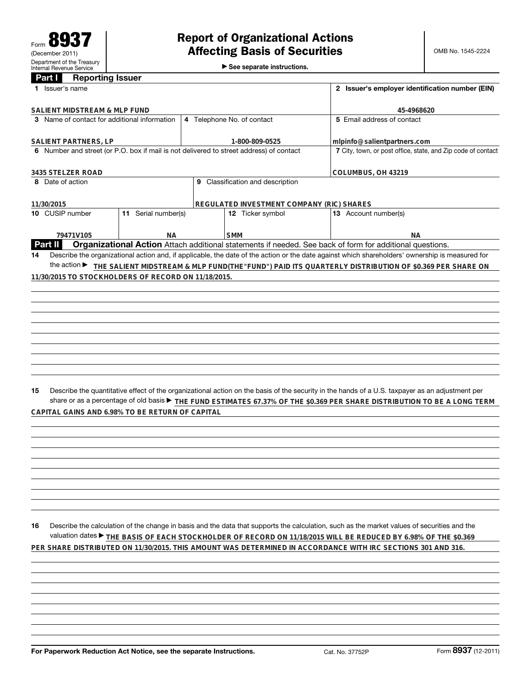►<br>► See separate instructions.

|                                                                                         | Part I                                 | <b>Reporting Issuer</b> |                                                     |  |                  |            |  |                                                                                                                                                 |  |
|-----------------------------------------------------------------------------------------|----------------------------------------|-------------------------|-----------------------------------------------------|--|------------------|------------|--|-------------------------------------------------------------------------------------------------------------------------------------------------|--|
|                                                                                         | 1 Issuer's name                        |                         |                                                     |  |                  |            |  | 2 Issuer's employer identification number (EIN)                                                                                                 |  |
|                                                                                         |                                        |                         |                                                     |  |                  |            |  |                                                                                                                                                 |  |
|                                                                                         | SALIENT MIDSTREAM & MLP FUND           |                         |                                                     |  |                  |            |  | 45-4968620<br>5 Email address of contact                                                                                                        |  |
| 3 Name of contact for additional information<br>4 Telephone No. of contact              |                                        |                         |                                                     |  |                  |            |  |                                                                                                                                                 |  |
| SALIENT PARTNERS, LP<br>1-800-809-0525                                                  |                                        |                         |                                                     |  |                  |            |  | mlpinfo@salientpartners.com                                                                                                                     |  |
| 6 Number and street (or P.O. box if mail is not delivered to street address) of contact |                                        |                         |                                                     |  |                  |            |  | 7 City, town, or post office, state, and Zip code of contact                                                                                    |  |
| 3435 STELZER ROAD                                                                       |                                        |                         |                                                     |  |                  |            |  | COLUMBUS, OH 43219                                                                                                                              |  |
| 9 Classification and description<br>8 Date of action                                    |                                        |                         |                                                     |  |                  |            |  |                                                                                                                                                 |  |
|                                                                                         |                                        |                         |                                                     |  |                  |            |  |                                                                                                                                                 |  |
| REGULATED INVESTMENT COMPANY (RIC) SHARES<br>11/30/2015                                 |                                        |                         |                                                     |  |                  |            |  |                                                                                                                                                 |  |
|                                                                                         | 10 CUSIP number<br>11 Serial number(s) |                         |                                                     |  | 12 Ticker symbol |            |  | 13 Account number(s)                                                                                                                            |  |
|                                                                                         |                                        |                         |                                                     |  |                  |            |  |                                                                                                                                                 |  |
|                                                                                         |                                        | 79471V105               | NА                                                  |  |                  | <b>SMM</b> |  | NА                                                                                                                                              |  |
|                                                                                         | <b>Part II</b>                         |                         |                                                     |  |                  |            |  | Organizational Action Attach additional statements if needed. See back of form for additional questions.                                        |  |
| 14                                                                                      |                                        |                         |                                                     |  |                  |            |  | Describe the organizational action and, if applicable, the date of the action or the date against which shareholders' ownership is measured for |  |
|                                                                                         |                                        |                         |                                                     |  |                  |            |  | the action ▶ THE SALIENT MIDSTREAM & MLP FUND(THE"FUND") PAID ITS QUARTERLY DISTRIBUTION OF \$0.369 PER SHARE ON                                |  |
|                                                                                         |                                        |                         | 11/30/2015 TO STOCKHOLDERS OF RECORD ON 11/18/2015. |  |                  |            |  |                                                                                                                                                 |  |
|                                                                                         |                                        |                         |                                                     |  |                  |            |  |                                                                                                                                                 |  |
|                                                                                         |                                        |                         |                                                     |  |                  |            |  |                                                                                                                                                 |  |
|                                                                                         |                                        |                         |                                                     |  |                  |            |  |                                                                                                                                                 |  |
|                                                                                         |                                        |                         |                                                     |  |                  |            |  |                                                                                                                                                 |  |
|                                                                                         |                                        |                         |                                                     |  |                  |            |  |                                                                                                                                                 |  |
|                                                                                         |                                        |                         |                                                     |  |                  |            |  |                                                                                                                                                 |  |
|                                                                                         |                                        |                         |                                                     |  |                  |            |  |                                                                                                                                                 |  |
|                                                                                         |                                        |                         |                                                     |  |                  |            |  |                                                                                                                                                 |  |
|                                                                                         |                                        |                         |                                                     |  |                  |            |  |                                                                                                                                                 |  |
|                                                                                         |                                        |                         |                                                     |  |                  |            |  |                                                                                                                                                 |  |
|                                                                                         |                                        |                         |                                                     |  |                  |            |  |                                                                                                                                                 |  |
| 15                                                                                      |                                        |                         |                                                     |  |                  |            |  | Describe the quantitative effect of the organizational action on the basis of the security in the hands of a U.S. taxpayer as an adjustment per |  |
|                                                                                         |                                        |                         |                                                     |  |                  |            |  | share or as a percentage of old basis > THE FUND ESTIMATES 67.37% OF THE \$0.369 PER SHARE DISTRIBUTION TO BE A LONG TERM                       |  |
|                                                                                         |                                        |                         | CAPITAL GAINS AND 6.98% TO BE RETURN OF CAPITAL     |  |                  |            |  |                                                                                                                                                 |  |
|                                                                                         |                                        |                         |                                                     |  |                  |            |  |                                                                                                                                                 |  |
|                                                                                         |                                        |                         |                                                     |  |                  |            |  |                                                                                                                                                 |  |
|                                                                                         |                                        |                         |                                                     |  |                  |            |  |                                                                                                                                                 |  |
|                                                                                         |                                        |                         |                                                     |  |                  |            |  |                                                                                                                                                 |  |
|                                                                                         |                                        |                         |                                                     |  |                  |            |  |                                                                                                                                                 |  |
|                                                                                         |                                        |                         |                                                     |  |                  |            |  |                                                                                                                                                 |  |
|                                                                                         |                                        |                         |                                                     |  |                  |            |  |                                                                                                                                                 |  |
|                                                                                         |                                        |                         |                                                     |  |                  |            |  |                                                                                                                                                 |  |
|                                                                                         |                                        |                         |                                                     |  |                  |            |  |                                                                                                                                                 |  |
|                                                                                         |                                        |                         |                                                     |  |                  |            |  |                                                                                                                                                 |  |
| 16                                                                                      |                                        |                         |                                                     |  |                  |            |  | Describe the calculation of the change in basis and the data that supports the calculation, such as the market values of securities and the     |  |
|                                                                                         |                                        |                         |                                                     |  |                  |            |  |                                                                                                                                                 |  |
|                                                                                         |                                        |                         |                                                     |  |                  |            |  | valuation dates ▶ THE BASIS OF EACH STOCKHOLDER OF RECORD ON 11/18/2015 WILL BE REDUCED BY 6.98% OF THE \$0.369                                 |  |
|                                                                                         |                                        |                         |                                                     |  |                  |            |  | PER SHARE DISTRIBUTED ON 11/30/2015. THIS AMOUNT WAS DETERMINED IN ACCORDANCE WITH IRC SECTIONS 301 AND 316.                                    |  |
|                                                                                         |                                        |                         |                                                     |  |                  |            |  |                                                                                                                                                 |  |
|                                                                                         |                                        |                         |                                                     |  |                  |            |  |                                                                                                                                                 |  |
|                                                                                         |                                        |                         |                                                     |  |                  |            |  |                                                                                                                                                 |  |
|                                                                                         |                                        |                         |                                                     |  |                  |            |  |                                                                                                                                                 |  |
|                                                                                         |                                        |                         |                                                     |  |                  |            |  |                                                                                                                                                 |  |
|                                                                                         |                                        |                         |                                                     |  |                  |            |  |                                                                                                                                                 |  |